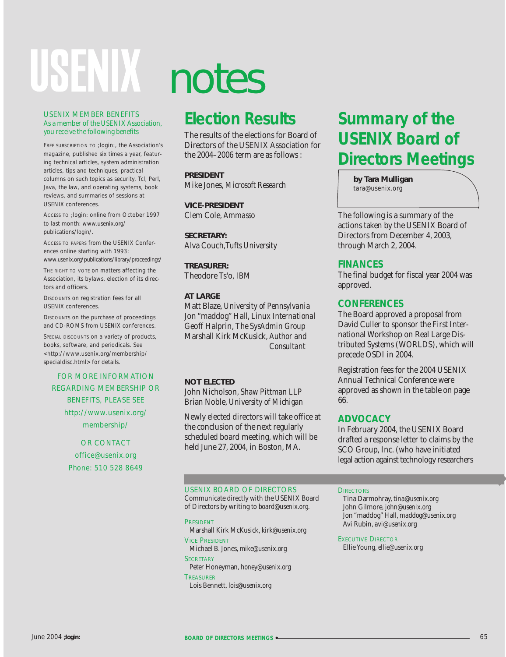# USENIX

#### USENIX MEMBER BENEFITS As a member of the USENIX Association, you receive the following benefits

FREE SUBSCRIPTION TO *;login:*, the Association's magazine, published six times a year, featuring technical articles, system administration articles, tips and techniques, practical columns on such topics as security, Tcl, Perl, Java, the law, and operating systems, book reviews, and summaries of sessions at USENIX conferences.

ACCESS TO *;login:* online from October 1997 to last month: *www.usenix.org/ publications/login/.*

ACCESS TO PAPERS from the USENIX Conferences online starting with 1993: *www.usenix.org/publications/library/proceedings/*

THE RIGHT TO VOTE ON matters affecting the Association, its bylaws, election of its directors and officers.

DISCOUNTS on registration fees for all USENIX conferences.

DISCOUNTS on the purchase of proceedings and CD-ROMS from USENIX conferences.

SPECIAL DISCOUNTS on a variety of products, books, software, and periodicals. See *<http://www.usenix.org/membership/ specialdisc.html>* for details.

#### FOR MORE INFORMATION REGARDING MEMBERSHIP OR BENEFITS, PLEASE SEE

*http://www.usenix.org/ membership/*

#### OR CONTACT *office@usenix.org* Phone: 510 528 8649

# notes

### **Election Results**

The results of the elections for Board of Directors of the USENIX Association for the 2004–2006 term are as follows :

**PRESIDENT** Mike Jones, *Microsoft Research*

**VICE-PRESIDENT** Clem Cole, *Ammasso*

**SECRETARY:** Alva Couch,*Tufts University*

**TREASURER:** Theodore Ts'o, *IBM*

#### **AT LARGE**

Matt Blaze, *University of Pennsylvania* Jon "maddog" Hall, *Linux International* Geoff Halprin, *The SysAdmin Group* Marshall Kirk McKusick, *Author and Consultant*

#### **NOT ELECTED**

John Nicholson, *Shaw Pittman LLP* Brian Noble, *University of Michigan*

Newly elected directors will take office at the conclusion of the next regularly scheduled board meeting, which will be held June 27, 2004, in Boston, MA.

# **Summary of the USENIX Board of Directors Meetings**

**by Tara Mulligan** *tara@usenix.org*

The following is a summary of the actions taken by the USENIX Board of Directors from December 4, 2003, through March 2, 2004.

#### **FINANCES**

The final budget for fiscal year 2004 was approved.

#### **CONFERENCES**

The Board approved a proposal from David Culler to sponsor the First International Workshop on Real Large Distributed Systems (WORLDS), which will precede OSDI in 2004.

Registration fees for the 2004 USENIX Annual Technical Conference were approved as shown in the table on page 66.

#### **ADVOCACY**

In February 2004, the USENIX Board drafted a response letter to claims by the SCO Group, Inc. (who have initiated legal action against technology researchers

#### USENIX BOARD OF DIRECTORS

Communicate directly with the USENIX Board of Directors by writing to *board@usenix.org*.

PRESIDENT Marshall Kirk McKusick, *kirk@usenix.org* VICE PRESIDENT

Michael B. Jones, *mike@usenix.org* **SECRETARY** 

Peter Honeyman, *honey@usenix.org* **TREASURER** 

Lois Bennett, *lois@usenix.org*

#### **DIRECTORS**

Tina Darmohray, *tina@usenix.org* John Gilmore, *john@usenix.org* Jon "maddog" Hall, *maddog@usenix.org* Avi Rubin, *avi@usenix.org*

**EXECUTIVE DIRECTOR** Ellie Young, *ellie@usenix.org*